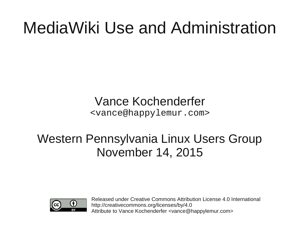## MediaWiki Use and Administration

Vance Kochenderfer <vance@happylemur.com>

#### Western Pennsylvania Linux Users Group November 14, 2015



Released under Creative Commons Attribution License 4.0 International http://creativecommons.org/licenses/by/4.0 Attribute to Vance Kochenderfer <vance@happylemur.com>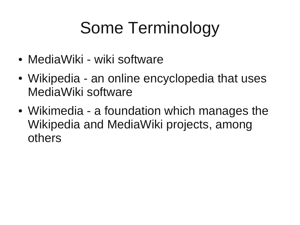# Some Terminology

- MediaWiki wiki software
- Wikipedia an online encyclopedia that uses MediaWiki software
- Wikimedia a foundation which manages the Wikipedia and MediaWiki projects, among others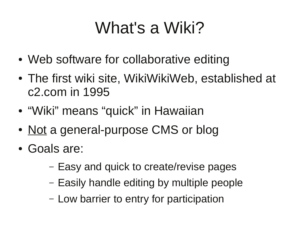# What's a Wiki?

- Web software for collaborative editing
- The first wiki site, WikiWikiWeb, established at c2.com in 1995
- "Wiki" means "quick" in Hawaiian
- Not a general-purpose CMS or blog
- Goals are:
	- Easy and quick to create/revise pages
	- Easily handle editing by multiple people
	- Low barrier to entry for participation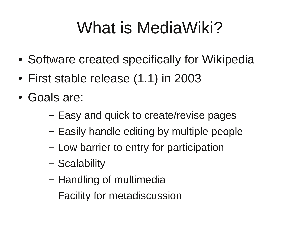# What is MediaWiki?

- Software created specifically for Wikipedia
- First stable release (1.1) in 2003
- Goals are:
	- Easy and quick to create/revise pages
	- Easily handle editing by multiple people
	- Low barrier to entry for participation
	- Scalability
	- Handling of multimedia
	- Facility for metadiscussion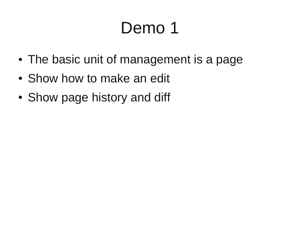- The basic unit of management is a page
- Show how to make an edit
- Show page history and diff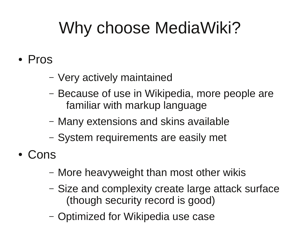# Why choose MediaWiki?

- Pros
	- Very actively maintained
	- Because of use in Wikipedia, more people are familiar with markup language
	- Many extensions and skins available
	- System requirements are easily met
- Cons
	- More heavyweight than most other wikis
	- Size and complexity create large attack surface (though security record is good)
	- Optimized for Wikipedia use case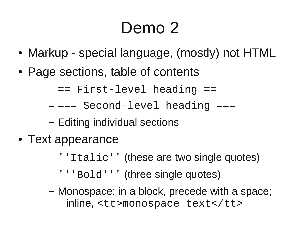- Markup special language, (mostly) not HTML
- Page sections, table of contents
	- $==$  First-level heading  $==$
	- $==$  Second-level heading  $==$
	- Editing individual sections
- Text appearance
	- ''Italic'' (these are two single quotes)
	- '''Bold''' (three single quotes)
	- Monospace: in a block, precede with a space; inline, <tt>monospace text</tt>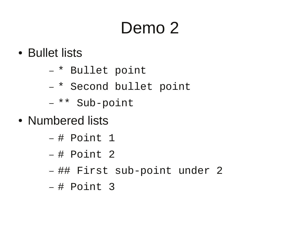- Bullet lists
	- \* Bullet point
	- \* Second bullet point
	- \*\* Sub-point
- Numbered lists
	- $-$  # Point 1
	- $-$  # Point 2
	- ## First sub-point under 2
	- # Point 3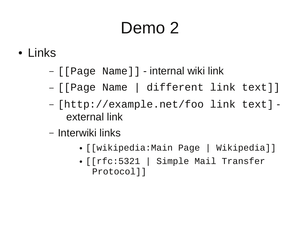- Links
	- [[Page Name]] internal wiki link
	- [[Page Name | different link text]]
	- [http://example.net/foo link text] external link
	- Interwiki links
		- [[wikipedia:Main Page | Wikipedia]]
		- [[rfc:5321 | Simple Mail Transfer Protocol]]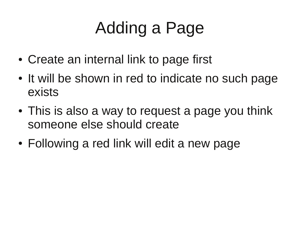# Adding a Page

- Create an internal link to page first
- It will be shown in red to indicate no such page exists
- This is also a way to request a page you think someone else should create
- Following a red link will edit a new page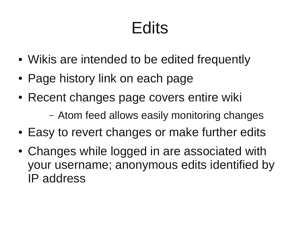# Edits

- Wikis are intended to be edited frequently
- Page history link on each page
- Recent changes page covers entire wiki
	- Atom feed allows easily monitoring changes
- Easy to revert changes or make further edits
- Changes while logged in are associated with your username; anonymous edits identified by IP address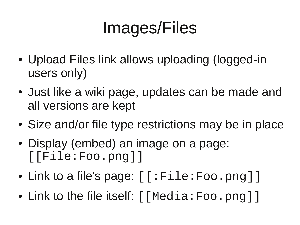# Images/Files

- Upload Files link allows uploading (logged-in users only)
- Just like a wiki page, updates can be made and all versions are kept
- Size and/or file type restrictions may be in place
- Display (embed) an image on a page: [[File:Foo.png]]
- Link to a file's page:  $\lceil$  : File: Foo.png  $\rceil$  ]
- Link to the file itself:  $\lceil \text{Media:Foo.png} \rceil$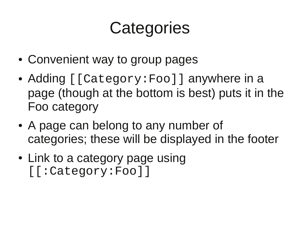#### **Categories**

- Convenient way to group pages
- Adding [[Category: Foo]] anywhere in a page (though at the bottom is best) puts it in the Foo category
- A page can belong to any number of categories; these will be displayed in the footer
- Link to a category page using [[:Category:Foo]]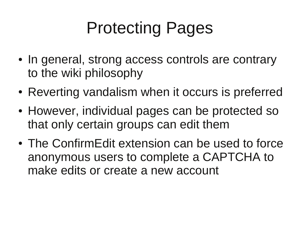# Protecting Pages

- In general, strong access controls are contrary to the wiki philosophy
- Reverting vandalism when it occurs is preferred
- However, individual pages can be protected so that only certain groups can edit them
- The ConfirmEdit extension can be used to force anonymous users to complete a CAPTCHA to make edits or create a new account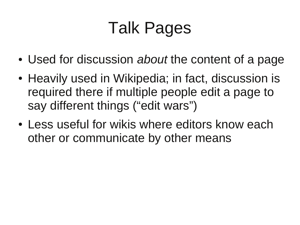# Talk Pages

- Used for discussion *about* the content of a page
- Heavily used in Wikipedia; in fact, discussion is required there if multiple people edit a page to say different things ("edit wars")
- Less useful for wikis where editors know each other or communicate by other means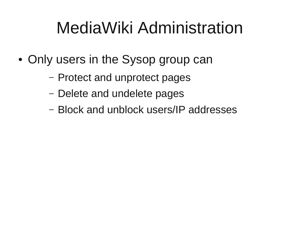## MediaWiki Administration

- Only users in the Sysop group can
	- Protect and unprotect pages
	- Delete and undelete pages
	- Block and unblock users/IP addresses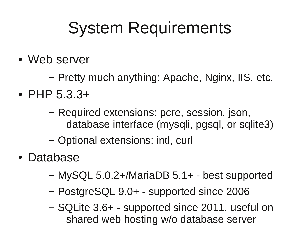### System Requirements

- Web server
	- Pretty much anything: Apache, Nginx, IIS, etc.
- PHP  $5.3.3+$ 
	- Required extensions: pcre, session, json, database interface (mysqli, pgsql, or sqlite3)
	- Optional extensions: intl, curl
- Database
	- MySQL 5.0.2+/MariaDB 5.1+ best supported
	- PostgreSQL 9.0+ supported since 2006
	- SQLite 3.6+ supported since 2011, useful on shared web hosting w/o database server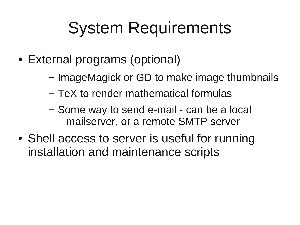## System Requirements

- External programs (optional)
	- ImageMagick or GD to make image thumbnails
	- TeX to render mathematical formulas
	- Some way to send e-mail can be a local mailserver, or a remote SMTP server
- Shell access to server is useful for running installation and maintenance scripts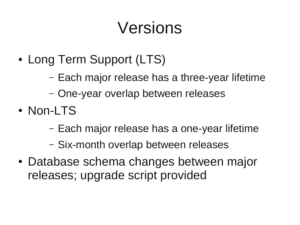#### Versions

- Long Term Support (LTS)
	- Each major release has a three-year lifetime
	- One-year overlap between releases
- Non-LTS
	- Each major release has a one-year lifetime
	- Six-month overlap between releases
- Database schema changes between major releases; upgrade script provided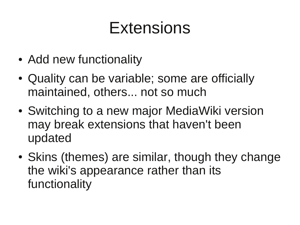#### Extensions

- Add new functionality
- Quality can be variable; some are officially maintained, others... not so much
- Switching to a new major MediaWiki version may break extensions that haven't been updated
- Skins (themes) are similar, though they change the wiki's appearance rather than its functionality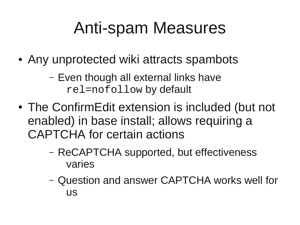#### Anti-spam Measures

- Any unprotected wiki attracts spambots
	- Even though all external links have rel=nofollow by default
- The ConfirmEdit extension is included (but not enabled) in base install; allows requiring a CAPTCHA for certain actions
	- ReCAPTCHA supported, but effectiveness varies
	- Question and answer CAPTCHA works well for us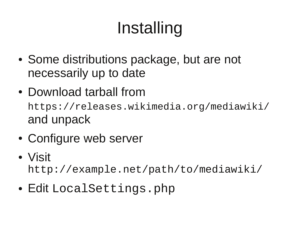# Installing

- Some distributions package, but are not necessarily up to date
- Download tarball from https://releases.wikimedia.org/mediawiki/ and unpack
- Configure web server
- Visit

http://example.net/path/to/mediawiki/

 $\bullet$  Edit LocalSettings.php